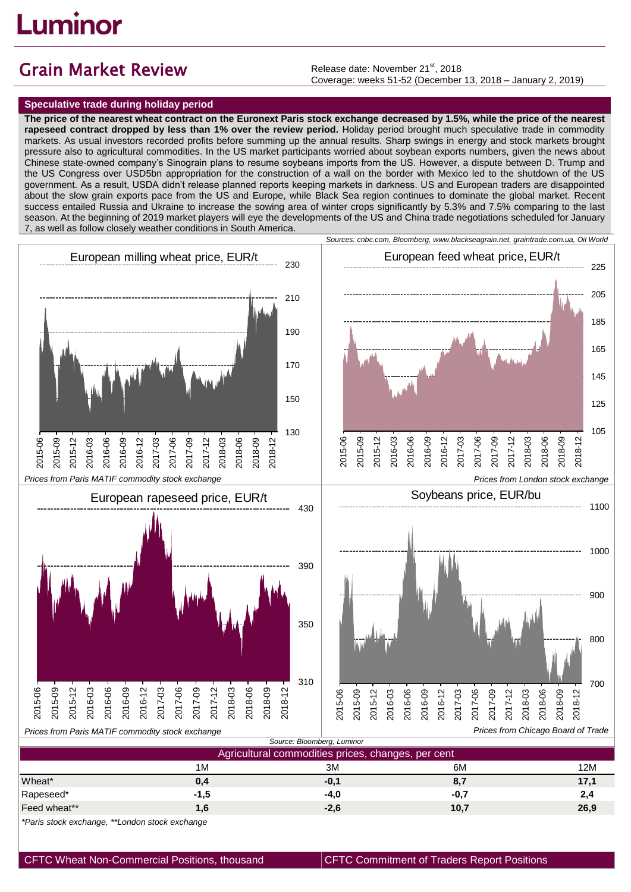## uminor.

## Grain Market Review

Release date: November 21<sup>st</sup>, 2018 Coverage: weeks 51-52 (December 13, 2018 – January 2, 2019)

## **Speculative trade during holiday period**

**The price of the nearest wheat contract on the Euronext Paris stock exchange decreased by 1.5%, while the price of the nearest rapeseed contract dropped by less than 1% over the review period.** Holiday period brought much speculative trade in commodity markets. As usual investors recorded profits before summing up the annual results. Sharp swings in energy and stock markets brought pressure also to agricultural commodities. In the US market participants worried about soybean exports numbers, given the news about Chinese state-owned company's Sinograin plans to resume soybeans imports from the US. However, a dispute between D. Trump and the US Congress over USD5bn appropriation for the construction of a wall on the border with Mexico led to the shutdown of the US government. As a result, USDA didn't release planned reports keeping markets in darkness. US and European traders are disappointed about the slow grain exports pace from the US and Europe, while Black Sea region continues to dominate the global market. Recent success entailed Russia and Ukraine to increase the sowing area of winter crops significantly by 5.3% and 7.5% comparing to the last season. At the beginning of 2019 market players will eye the developments of the US and China trade negotiations scheduled for January 7, as well as follow closely weather conditions in South America.



| Agricultural commodities prices, changes, per cent |                 |        |        |      |
|----------------------------------------------------|-----------------|--------|--------|------|
|                                                    | 1M              | 3M     | 6M     | 12M  |
| Wheat*                                             | 0,4             | $-0,1$ | 8,7    | 17,1 |
| Rapeseed*                                          | -1,5            | $-4.0$ | $-0,7$ | 2,4  |
| Feed wheat**                                       | .6 <sub>1</sub> | $-2,6$ | 10,7   | 26,9 |

*\*Paris stock exchange, \*\*London stock exchange*